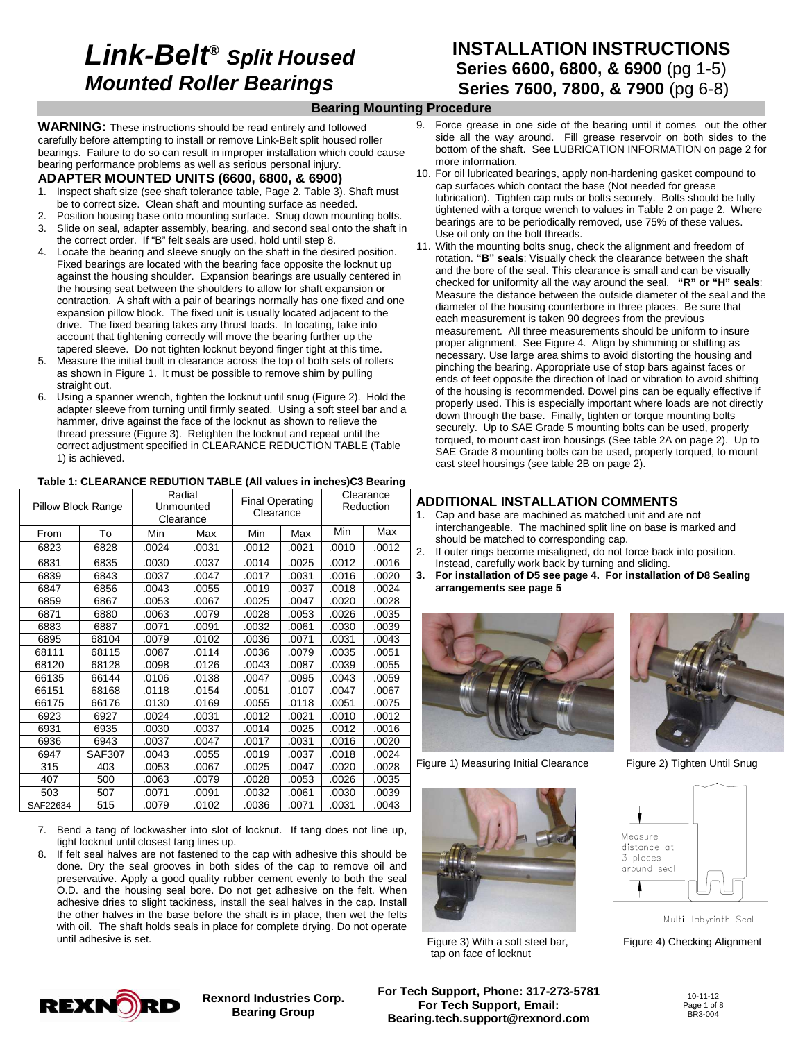# **Link-Belt® Split Housed Mounted Roller Bearings**

## **INSTALLATION INSTRUCTIONS Series 6600, 6800, & 6900** (pg 1-5) **Series 7600, 7800, & 7900** (pg 6-8)

### **Bearing Mounting Procedure**

**WARNING:** These instructions should be read entirely and followed carefully before attempting to install or remove Link-Belt split housed roller bearings. Failure to do so can result in improper installation which could cause bearing performance problems as well as serious personal injury.

### **ADAPTER MOUNTED UNITS (6600, 6800, & 6900)**

- 1. Inspect shaft size (see shaft tolerance table, Page 2. Table 3). Shaft must be to correct size. Clean shaft and mounting surface as needed.
- 2. Position housing base onto mounting surface. Snug down mounting bolts. 3. Slide on seal, adapter assembly, bearing, and second seal onto the shaft in
- the correct order. If "B" felt seals are used, hold until step 8. 4. Locate the bearing and sleeve snugly on the shaft in the desired position.
- Fixed bearings are located with the bearing face opposite the locknut up against the housing shoulder. Expansion bearings are usually centered in the housing seat between the shoulders to allow for shaft expansion or contraction. A shaft with a pair of bearings normally has one fixed and one expansion pillow block. The fixed unit is usually located adjacent to the drive. The fixed bearing takes any thrust loads. In locating, take into account that tightening correctly will move the bearing further up the tapered sleeve. Do not tighten locknut beyond finger tight at this time.
- 5. Measure the initial built in clearance across the top of both sets of rollers as shown in Figure 1. It must be possible to remove shim by pulling straight out.
- 6. Using a spanner wrench, tighten the locknut until snug (Figure 2). Hold the adapter sleeve from turning until firmly seated. Using a soft steel bar and a hammer, drive against the face of the locknut as shown to relieve the thread pressure (Figure 3). Retighten the locknut and repeat until the correct adjustment specified in CLEARANCE REDUCTION TABLE (Table 1) is achieved.

#### **Table 1: CLEARANCE REDUTION TABLE (All values in inches)C3 Bearing**

| <b>Pillow Block Range</b> |               | Radial<br>Unmounted<br>Clearance |       | <b>Final Operating</b><br>Clearance |       | Clearance<br>Reduction |       |
|---------------------------|---------------|----------------------------------|-------|-------------------------------------|-------|------------------------|-------|
| From                      | To            | Min                              | Max   | Min                                 | Max   | Min                    | Max   |
| 6823                      | 6828          | .0024                            | .0031 | .0012                               | .0021 | .0010                  | .0012 |
| 6831                      | 6835          | .0030                            | .0037 | .0014                               | .0025 | .0012                  | .0016 |
| 6839                      | 6843          | .0037                            | .0047 | .0017                               | .0031 | .0016                  | .0020 |
| 6847                      | 6856          | .0043                            | .0055 | .0019                               | .0037 | .0018                  | .0024 |
| 6859                      | 6867          | .0053                            | .0067 | .0025                               | .0047 | .0020                  | .0028 |
| 6871                      | 6880          | .0063                            | .0079 | .0028                               | .0053 | .0026                  | .0035 |
| 6883                      | 6887          | .0071                            | .0091 | .0032                               | .0061 | .0030                  | .0039 |
| 6895                      | 68104         | .0079                            | .0102 | .0036                               | .0071 | .0031                  | .0043 |
| 68111                     | 68115         | .0087                            | .0114 | .0036                               | .0079 | .0035                  | .0051 |
| 68120                     | 68128         | .0098                            | .0126 | .0043                               | .0087 | .0039                  | .0055 |
| 66135                     | 66144         | .0106                            | .0138 | .0047                               | .0095 | .0043                  | .0059 |
| 66151                     | 68168         | .0118                            | .0154 | .0051                               | .0107 | .0047                  | .0067 |
| 66175                     | 66176         | .0130                            | .0169 | .0055                               | .0118 | .0051                  | .0075 |
| 6923                      | 6927          | .0024                            | .0031 | .0012                               | .0021 | .0010                  | .0012 |
| 6931                      | 6935          | .0030                            | .0037 | .0014                               | .0025 | .0012                  | .0016 |
| 6936                      | 6943          | .0037                            | .0047 | .0017                               | .0031 | .0016                  | .0020 |
| 6947                      | <b>SAF307</b> | .0043                            | .0055 | .0019                               | .0037 | .0018                  | .0024 |
| 315                       | 403           | .0053                            | .0067 | .0025                               | .0047 | .0020                  | .0028 |
| 407                       | 500           | .0063                            | .0079 | .0028                               | .0053 | .0026                  | .0035 |
| 503                       | 507           | .0071                            | .0091 | .0032                               | .0061 | .0030                  | .0039 |
| SAF22634                  | 515           | .0079                            | .0102 | .0036                               | .0071 | .0031                  | .0043 |

7. Bend a tang of lockwasher into slot of locknut. If tang does not line up, tight locknut until closest tang lines up.

8. If felt seal halves are not fastened to the cap with adhesive this should be done. Dry the seal grooves in both sides of the cap to remove oil and preservative. Apply a good quality rubber cement evenly to both the seal O.D. and the housing seal bore. Do not get adhesive on the felt. When adhesive dries to slight tackiness, install the seal halves in the cap. Install the other halves in the base before the shaft is in place, then wet the felts with oil. The shaft holds seals in place for complete drying. Do not operate until adhesive is set.

- 9. Force grease in one side of the bearing until it comes out the other side all the way around. Fill grease reservoir on both sides to the bottom of the shaft. See LUBRICATION INFORMATION on page 2 for more information.
- 10. For oil lubricated bearings, apply non-hardening gasket compound to cap surfaces which contact the base (Not needed for grease lubrication). Tighten cap nuts or bolts securely. Bolts should be fully tightened with a torque wrench to values in Table 2 on page 2. Where bearings are to be periodically removed, use 75% of these values. Use oil only on the bolt threads.
- 11. With the mounting bolts snug, check the alignment and freedom of rotation. **"B" seals**: Visually check the clearance between the shaft and the bore of the seal. This clearance is small and can be visually checked for uniformity all the way around the seal. **"R" or "H" seals**: Measure the distance between the outside diameter of the seal and the diameter of the housing counterbore in three places. Be sure that each measurement is taken 90 degrees from the previous measurement. All three measurements should be uniform to insure proper alignment. See Figure 4. Align by shimming or shifting as necessary. Use large area shims to avoid distorting the housing and pinching the bearing. Appropriate use of stop bars against faces or ends of feet opposite the direction of load or vibration to avoid shifting of the housing is recommended. Dowel pins can be equally effective if properly used. This is especially important where loads are not directly down through the base. Finally, tighten or torque mounting bolts securely. Up to SAE Grade 5 mounting bolts can be used, properly torqued, to mount cast iron housings (See table 2A on page 2). Up to SAE Grade 8 mounting bolts can be used, properly torqued, to mount cast steel housings (see table 2B on page 2).

#### **ADDITIONAL INSTALLATION COMMENTS**

- 1. Cap and base are machined as matched unit and are not interchangeable. The machined split line on base is marked and should be matched to corresponding cap.
- 2. If outer rings become misaligned, do not force back into position. Instead, carefully work back by turning and sliding.
- **3. For installation of D5 see page 4. For installation of D8 Sealing arrangements see page 5**



Figure 1) Measuring Initial Clearance Figure 2) Tighten Until Snug



Figure 3) With a soft steel bar, Figure 4) Checking Alignment tap on face of locknut





Multi-labyrinth Seal



**Rexnord Industries Corp. Bearing Group**

**For Tech Support, Phone: 317-273-5781 For Tech Support, Email: Bearing.tech.support@rexnord.com**

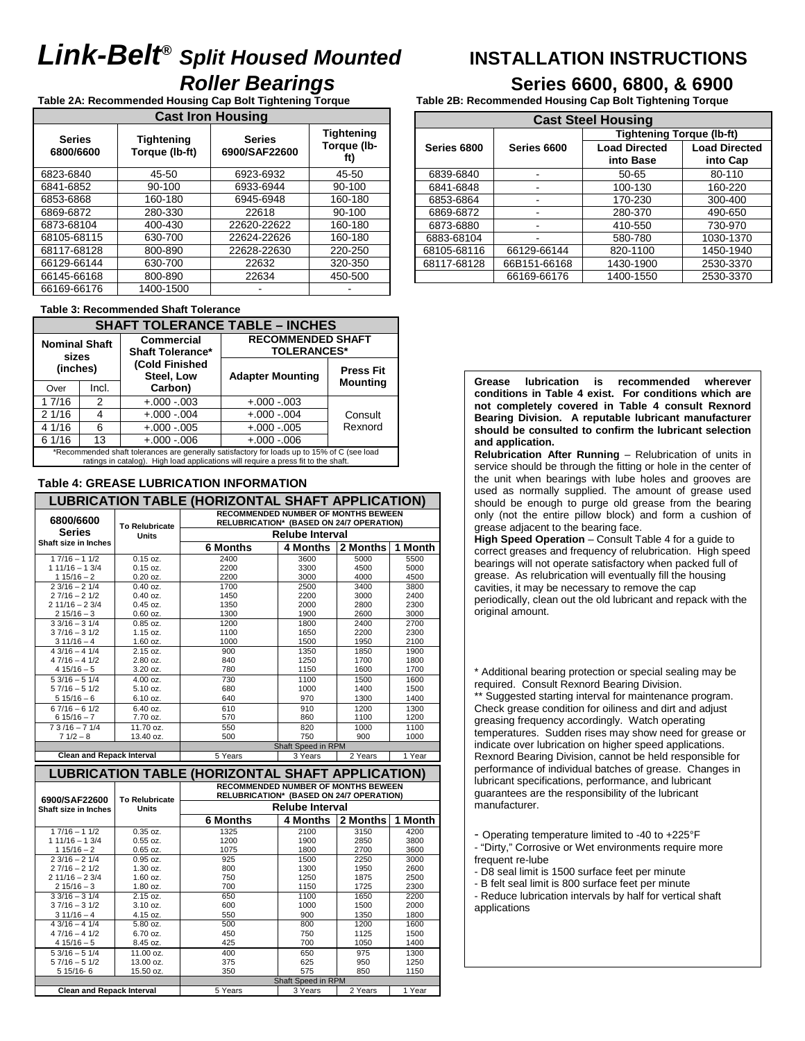# **Link-Belt® Split Housed Mounted INSTALLATION INSTRUCTIONS Roller Bearings**<br> **Roller Bearing Torque**<br> **Table 2B: Recommended Housing Cap Bolt Tightening Torque**<br> **Table 2B: Recommended Housing Cap Bolt Tightening Torque**

**Table 2A: Recommended Housing Cap Bolt Tightening Torque Table 2B: Recommended Housing Cap Bolt Tightening Torque** 

| <b>Cast Iron Housing</b>   |                                     |                                |                                         |  |  |  |
|----------------------------|-------------------------------------|--------------------------------|-----------------------------------------|--|--|--|
| <b>Series</b><br>6800/6600 | <b>Tightening</b><br>Torque (lb-ft) | <b>Series</b><br>6900/SAF22600 | <b>Tightening</b><br>Torque (lb-<br>ft) |  |  |  |
| 6823-6840                  | 45-50                               | 6923-6932                      | 45-50                                   |  |  |  |
| 6841-6852                  | 90-100                              | 6933-6944                      | 90-100                                  |  |  |  |
| 6853-6868                  | 160-180                             | 6945-6948                      | 160-180                                 |  |  |  |
| 6869-6872                  | 280-330                             | 22618                          | 90-100                                  |  |  |  |
| 6873-68104                 | 400-430                             | 22620-22622                    | 160-180                                 |  |  |  |
| 68105-68115                | 630-700                             | 22624-22626                    | 160-180                                 |  |  |  |
| 68117-68128                | 800-890                             | 22628-22630                    | 220-250                                 |  |  |  |
| 66129-66144                | 630-700                             | 22632                          | 320-350                                 |  |  |  |
| 66145-66168                | 800-890                             | 22634                          | 450-500                                 |  |  |  |
| 66169-66176                | 1400-1500                           |                                |                                         |  |  |  |

#### **Table 3: Recommended Shaft Tolerance**

| <b>SHAFT TOLERANCE TABLE - INCHES</b>                                                                                                                                             |                |                                       |                                                |                  |  |  |  |  |
|-----------------------------------------------------------------------------------------------------------------------------------------------------------------------------------|----------------|---------------------------------------|------------------------------------------------|------------------|--|--|--|--|
| <b>Nominal Shaft</b><br>sizes<br>(inches)                                                                                                                                         |                | Commercial<br><b>Shaft Tolerance*</b> | <b>RECOMMENDED SHAFT</b><br><b>TOLERANCES*</b> |                  |  |  |  |  |
|                                                                                                                                                                                   |                | (Cold Finished<br>Steel, Low          | <b>Adapter Mounting</b>                        | <b>Press Fit</b> |  |  |  |  |
| Over                                                                                                                                                                              | Incl.          | Carbon)                               |                                                | <b>Mounting</b>  |  |  |  |  |
| 17/16                                                                                                                                                                             | $\mathfrak{p}$ | $+.000-.003$                          | $+.000-.003$                                   |                  |  |  |  |  |
| 21/16                                                                                                                                                                             | 4              | $+.000-.004$                          | $+.000-.004$                                   | Consult          |  |  |  |  |
| 4 1/16                                                                                                                                                                            | 6              | $+.000-.005$                          | $+.000-.005$                                   | Rexnord          |  |  |  |  |
| 61/16                                                                                                                                                                             | 13             | $+.000-.006$                          | $+.000 - .006$                                 |                  |  |  |  |  |
| *Recommended shaft tolerances are generally satisfactory for loads up to 15% of C (see load<br>ratings in catalog). High load applications will require a press fit to the shaft. |                |                                       |                                                |                  |  |  |  |  |

#### **Table 4: GREASE LUBRICATION INFORMATION**

|                                        |                                       | LUBRICATION TABLE (HORIZONTAL SHAFT APPLICATION)                                       |                               |              |              |  |  |  |
|----------------------------------------|---------------------------------------|----------------------------------------------------------------------------------------|-------------------------------|--------------|--------------|--|--|--|
| 6800/6600                              |                                       | <b>RECOMMENDED NUMBER OF MONTHS BEWEEN</b><br>RELUBRICATION* (BASED ON 24/7 OPERATION) |                               |              |              |  |  |  |
| <b>Series</b>                          | <b>To Relubricate</b><br><b>Units</b> | <b>Relube Interval</b>                                                                 |                               |              |              |  |  |  |
| Shaft size in Inches                   |                                       | <b>6 Months</b>                                                                        | 4 Months                      | 2 Months     | 1 Month      |  |  |  |
| $17/16 - 11/2$                         | $0.15$ oz.                            | 2400                                                                                   | 3600                          | 5000         | 5500         |  |  |  |
| $11/16 - 13/4$                         | $0.15$ oz.                            | 2200                                                                                   | 3300                          | 4500         | 5000         |  |  |  |
| $115/16 - 2$                           | $0.20$ oz.                            | 2200                                                                                   | 3000                          | 4000         | 4500         |  |  |  |
| $23/16 - 21/4$                         | $0.40$ oz.                            | 1700                                                                                   | 2500                          | 3400         | 3800         |  |  |  |
| $27/16 - 21/2$<br>$211/16 - 23/4$      | $0.40$ oz.<br>$0.45$ oz.              | 1450<br>1350                                                                           | 2200<br>2000                  | 3000<br>2800 | 2400<br>2300 |  |  |  |
| $215/16 - 3$                           | $0.60$ oz.                            | 1300                                                                                   | 1900                          | 2600         | 3000         |  |  |  |
| $33/16 - 31/4$                         | $0.85$ oz.                            | 1200                                                                                   | 1800                          | 2400         | 2700         |  |  |  |
| $37/16 - 31/2$                         | 1.15 oz.                              | 1100                                                                                   | 1650                          | 2200         | 2300         |  |  |  |
| $311/16 - 4$                           | 1.60 oz.                              | 1000                                                                                   | 1500                          | 1950         | 2100         |  |  |  |
| $43/16 - 41/4$                         | 2.15 oz.                              | 900                                                                                    | 1350                          | 1850         | 1900         |  |  |  |
| $47/16 - 41/2$                         | 2.80 oz.                              | 840                                                                                    | 1250                          | 1700         | 1800         |  |  |  |
| $415/16-5$                             | 3.20 oz.                              | 780                                                                                    | 1150                          | 1600         | 1700         |  |  |  |
| $53/16 - 51/4$                         | 4.00 oz.                              | 730                                                                                    | 1100                          | 1500         | 1600         |  |  |  |
| $57/16 - 51/2$                         | 5.10 oz.                              | 680                                                                                    | 1000                          | 1400         | 1500         |  |  |  |
| $515/16-6$                             | 6.10 oz.                              | 640                                                                                    | 970                           | 1300         | 1400         |  |  |  |
| $67/16 - 61/2$                         | 6.40 oz.                              | 610                                                                                    | 910                           | 1200         | 1300         |  |  |  |
| $615/16 - 7$                           | 7.70 oz.                              | 570                                                                                    | 860                           | 1100         | 1200         |  |  |  |
| $73/16 - 71/4$                         | 11.70 oz.                             | 550<br>500                                                                             | 820<br>750                    | 1000<br>900  | 1100<br>1000 |  |  |  |
| $71/2 - 8$                             | 13.40 oz.                             |                                                                                        | Shaft Speed in RPM            |              |              |  |  |  |
|                                        |                                       |                                                                                        |                               |              |              |  |  |  |
|                                        |                                       |                                                                                        |                               |              |              |  |  |  |
| <b>Clean and Repack Interval</b>       |                                       | 5 Years                                                                                | 3 Years                       | 2 Years      | 1 Year       |  |  |  |
|                                        |                                       | <b>LUBRICATION TABLE (HORIZONTAL SHAFT APPLICATION)</b>                                |                               |              |              |  |  |  |
|                                        |                                       | <b>RECOMMENDED NUMBER OF MONTHS BEWEEN</b><br>RELUBRICATION* (BASED ON 24/7 OPERATION) |                               |              |              |  |  |  |
| 6900/SAF22600                          | <b>To Relubricate</b><br><b>Units</b> |                                                                                        | <b>Relube Interval</b>        |              |              |  |  |  |
|                                        |                                       | <b>6 Months</b>                                                                        | 4 Months                      | 2 Months     | 1 Month      |  |  |  |
| Shaft size in Inches<br>$17/16 - 11/2$ | $0.35$ oz.                            | 1325                                                                                   | 2100                          | 3150         | 4200         |  |  |  |
| $11/16 - 13/4$                         | $0.55$ oz.                            | 1200                                                                                   | 1900                          | 2850         | 3800         |  |  |  |
| $115/16 - 2$                           | $0.65$ oz.                            | 1075                                                                                   | 1800                          | 2700         | 3600         |  |  |  |
| $23/16 - 21/4$                         | $0.95$ oz.                            | 925                                                                                    | 1500                          | 2250         | 3000         |  |  |  |
| $27/16 - 21/2$                         | $1.30$ oz.                            | 800                                                                                    | 1300                          | 1950         | 2600         |  |  |  |
| $211/16 - 23/4$                        | $1.60$ oz.                            | 750                                                                                    | 1250                          | 1875         | 2500         |  |  |  |
| $215/16 - 3$                           | 1.80 oz.                              | 700                                                                                    | 1150                          | 1725         | 2300         |  |  |  |
| $33/16 - 31/4$                         | 2.15 oz.                              | 650                                                                                    | 1100                          | 1650         | 2200         |  |  |  |
| $37/16 - 31/2$                         | 3.10 oz.                              | 600                                                                                    | 1000<br>900                   | 1500         | 2000         |  |  |  |
| $311/16 - 4$<br>$43/16 - 41/4$         | 4.15 oz.<br>5.80 oz.                  | 550<br>500                                                                             | 800                           | 1350<br>1200 | 1800<br>1600 |  |  |  |
| $47/16 - 41/2$                         | 6.70 oz.                              | 450                                                                                    | 750                           | 1125         | 1500         |  |  |  |
| $415/16-5$                             | 8.45 oz.                              | 425                                                                                    | 700                           | 1050         | 1400         |  |  |  |
| $53/16 - 51/4$                         | 11.00 oz.                             | 400                                                                                    | 650                           | 975          | 1300         |  |  |  |
| $57/16 - 51/2$                         | 13.00 oz.                             | 375                                                                                    | 625                           | 950          | 1250         |  |  |  |
| 5 15/16-6                              | 15.50 oz.                             | 350                                                                                    | 575                           | 850          | 1150         |  |  |  |
| <b>Clean and Repack Interval</b>       |                                       | 5 Years                                                                                | Shaft Speed in RPM<br>3 Years | 2 Years      | 1 Year       |  |  |  |

| <b>Cast Steel Housing</b> |              |                                   |                                  |  |  |  |  |
|---------------------------|--------------|-----------------------------------|----------------------------------|--|--|--|--|
|                           |              | <b>Tightening Torque (lb-ft)</b>  |                                  |  |  |  |  |
| Series 6800               | Series 6600  | <b>Load Directed</b><br>into Base | <b>Load Directed</b><br>into Cap |  |  |  |  |
| 6839-6840                 |              | $50 - 65$                         | 80-110                           |  |  |  |  |
| 6841-6848                 |              | 100-130                           | 160-220                          |  |  |  |  |
| 6853-6864                 |              | 170-230                           | 300-400                          |  |  |  |  |
| 6869-6872                 |              | 280-370                           | 490-650                          |  |  |  |  |
| 6873-6880                 |              | 410-550                           | 730-970                          |  |  |  |  |
| 6883-68104                |              | 580-780                           | 1030-1370                        |  |  |  |  |
| 68105-68116               | 66129-66144  | 820-1100                          | 1450-1940                        |  |  |  |  |
| 68117-68128               | 66B151-66168 | 1430-1900                         | 2530-3370                        |  |  |  |  |
|                           | 66169-66176  | 1400-1550                         | 2530-3370                        |  |  |  |  |

**Grease lubrication is recommended wherever conditions in Table 4 exist. For conditions which are not completely covered in Table 4 consult Rexnord Bearing Division. A reputable lubricant manufacturer should be consulted to confirm the lubricant selection and application.** 

**Relubrication After Running** – Relubrication of units in service should be through the fitting or hole in the center of the unit when bearings with lube holes and grooves are used as normally supplied. The amount of grease used should be enough to purge old grease from the bearing only (not the entire pillow block) and form a cushion of grease adjacent to the bearing face.

**High Speed Operation** – Consult Table 4 for a guide to correct greases and frequency of relubrication. High speed bearings will not operate satisfactory when packed full of grease. As relubrication will eventually fill the housing cavities, it may be necessary to remove the cap periodically, clean out the old lubricant and repack with the original amount.

\* Additional bearing protection or special sealing may be required. Consult Rexnord Bearing Division.

\*\* Suggested starting interval for maintenance program. Check grease condition for oiliness and dirt and adjust greasing frequency accordingly. Watch operating temperatures. Sudden rises may show need for grease or indicate over lubrication on higher speed applications. Rexnord Bearing Division, cannot be held responsible for performance of individual batches of grease. Changes in lubricant specifications, performance, and lubricant guarantees are the responsibility of the lubricant manufacturer.

- Operating temperature limited to -40 to +225°F

- "Dirty," Corrosive or Wet environments require more frequent re-lube
- D8 seal limit is 1500 surface feet per minute
- B felt seal limit is 800 surface feet per minute

- Reduce lubrication intervals by half for vertical shaft applications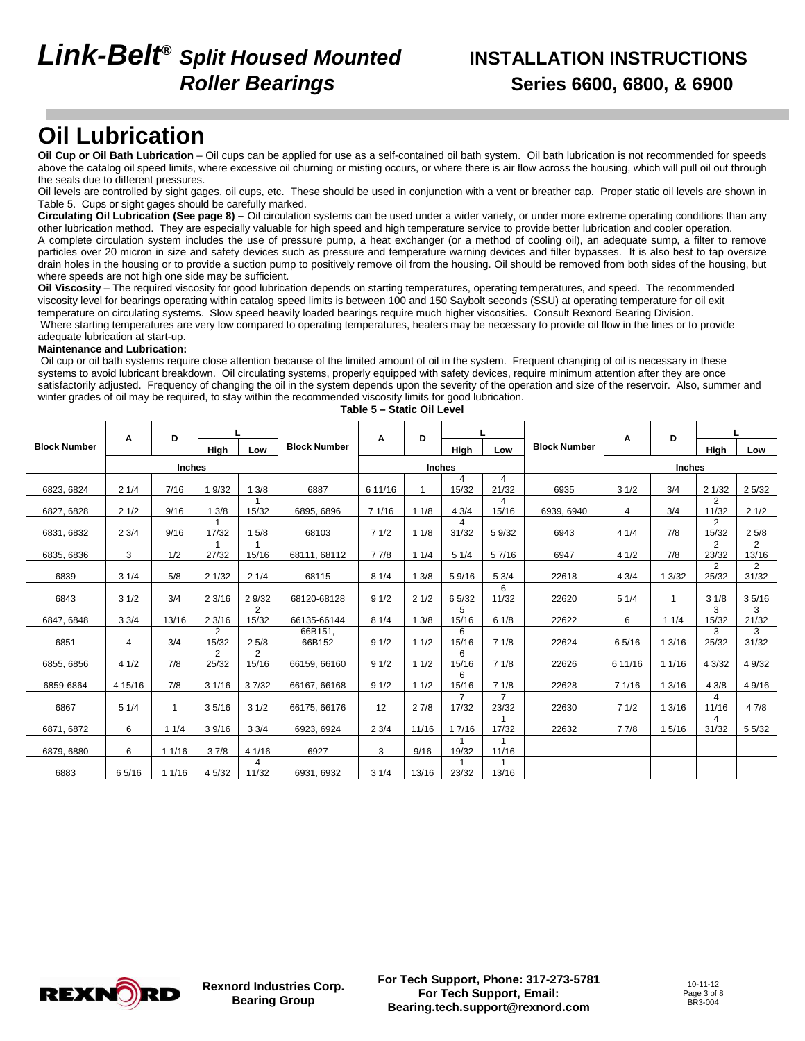# **Link-Belt® Split Housed Mounted INSTALLATION INSTRUCTIONS**

# **Roller Bearings Series 6600, 6800, & 6900**

## **Oil Lubrication**

**Oil Cup or Oil Bath Lubrication** – Oil cups can be applied for use as a self-contained oil bath system. Oil bath lubrication is not recommended for speeds above the catalog oil speed limits, where excessive oil churning or misting occurs, or where there is air flow across the housing, which will pull oil out through the seals due to different pressures.

Oil levels are controlled by sight gages, oil cups, etc. These should be used in conjunction with a vent or breather cap. Proper static oil levels are shown in Table 5. Cups or sight gages should be carefully marked.

**Circulating Oil Lubrication (See page 8) –** Oil circulation systems can be used under a wider variety, or under more extreme operating conditions than any other lubrication method. They are especially valuable for high speed and high temperature service to provide better lubrication and cooler operation.

A complete circulation system includes the use of pressure pump, a heat exchanger (or a method of cooling oil), an adequate sump, a filter to remove particles over 20 micron in size and safety devices such as pressure and temperature warning devices and filter bypasses. It is also best to tap oversize drain holes in the housing or to provide a suction pump to positively remove oil from the housing. Oil should be removed from both sides of the housing, but where speeds are not high one side may be sufficient.

**Oil Viscosity** – The required viscosity for good lubrication depends on starting temperatures, operating temperatures, and speed. The recommended viscosity level for bearings operating within catalog speed limits is between 100 and 150 Saybolt seconds (SSU) at operating temperature for oil exit temperature on circulating systems. Slow speed heavily loaded bearings require much higher viscosities. Consult Rexnord Bearing Division. Where starting temperatures are very low compared to operating temperatures, heaters may be necessary to provide oil flow in the lines or to provide adequate lubrication at start-up.

#### **Maintenance and Lubrication:**

 Oil cup or oil bath systems require close attention because of the limited amount of oil in the system. Frequent changing of oil is necessary in these systems to avoid lubricant breakdown. Oil circulating systems, properly equipped with safety devices, require minimum attention after they are once satisfactorily adjusted. Frequency of changing the oil in the system depends upon the severity of the operation and size of the reservoir. Also, summer and winter grades of oil may be required, to stay within the recommended viscosity limits for good lubrication.

|                     | A       | D             |             |                         |                     | A       | D             |                         | L                       | A<br><b>Block Number</b> |         |               |                         | D                       |  | L |
|---------------------|---------|---------------|-------------|-------------------------|---------------------|---------|---------------|-------------------------|-------------------------|--------------------------|---------|---------------|-------------------------|-------------------------|--|---|
| <b>Block Number</b> |         |               | High        | Low                     | <b>Block Number</b> |         |               | High                    | Low                     |                          |         |               | High                    | Low                     |  |   |
|                     |         | <b>Inches</b> |             |                         |                     |         | <b>Inches</b> |                         |                         |                          |         | <b>Inches</b> |                         |                         |  |   |
| 6823, 6824          | 21/4    | 7/16          | 1 9/32      | 13/8                    | 6887                | 6 11/16 | -4            | 4<br>15/32              | 4<br>21/32              | 6935                     | 31/2    | 3/4           | 21/32                   | 25/32                   |  |   |
| 6827, 6828          | 21/2    | 9/16          | 13/8        | 15/32                   | 6895, 6896          | 7 1/16  | 11/8          | 43/4                    | 4<br>15/16              | 6939, 6940               | 4       | 3/4           | $\overline{2}$<br>11/32 | 21/2                    |  |   |
| 6831, 6832          | 23/4    | 9/16          | -1<br>17/32 | 5/8                     | 68103               | 71/2    | 11/8          | 4<br>31/32              | 59/32                   | 6943                     | 41/4    | 7/8           | 2<br>15/32              | 25/8                    |  |   |
| 6835, 6836          | 3       | 1/2           | 27/32       | 15/16                   | 68111, 68112        | 77/8    | 11/4          | 51/4                    | 57/16                   | 6947                     | 41/2    | 7/8           | 2<br>23/32              | 2<br>13/16              |  |   |
| 6839                | 31/4    | 5/8           | 21/32       | 21/4                    | 68115               | 81/4    | 13/8          | 59/16                   | 53/4                    | 22618                    | 43/4    | 3/32          | 2<br>25/32              | $\overline{2}$<br>31/32 |  |   |
| 6843                | 31/2    | 3/4           | 23/16       | 2 9/32                  | 68120-68128         | 91/2    | 21/2          | 6 5/32                  | 6<br>11/32              | 22620                    | 51/4    |               | 31/8                    | 35/16                   |  |   |
| 6847, 6848          | 33/4    | 13/16         | 23/16       | $\overline{2}$<br>15/32 | 66135-66144         | 81/4    | 13/8          | 5<br>15/16              | 61/8                    | 22622                    | 6       | 11/4          | 3<br>15/32              | 3<br>21/32              |  |   |
| 6851                | 4       | 3/4           | 2<br>15/32  | 25/8                    | 66B151,<br>66B152   | 91/2    | 11/2          | 6<br>15/16              | 71/8                    | 22624                    | 65/16   | 1 3/16        | 3<br>25/32              | 3<br>31/32              |  |   |
| 6855, 6856          | 41/2    | 7/8           | 2<br>25/32  | $\overline{2}$<br>15/16 | 66159, 66160        | 91/2    | 11/2          | 6<br>15/16              | 71/8                    | 22626                    | 6 11/16 | 11/16         | 4 3/32                  | 4 9/32                  |  |   |
| 6859-6864           | 4 15/16 | 7/8           | 31/16       | 37/32                   | 66167, 66168        | 91/2    | 11/2          | 6<br>15/16              | 71/8                    | 22628                    | 7 1/16  | 1 3/16        | 43/8                    | 4 9/16                  |  |   |
| 6867                | 51/4    |               | 35/16       | 31/2                    | 66175, 66176        | 12      | 27/8          | $\overline{7}$<br>17/32 | $\overline{7}$<br>23/32 | 22630                    | 71/2    | 1 3/16        | 4<br>11/16              | 47/8                    |  |   |
| 6871, 6872          | 6       | 11/4          | 39/16       | 33/4                    | 6923, 6924          | 23/4    | 11/16         | 1 7/16                  | $\mathbf{1}$<br>17/32   | 22632                    | 7 7/8   | 1 5/16        | 4<br>31/32              | 5 5/32                  |  |   |
| 6879, 6880          | 6       | 11/16         | 37/8        | 41/16                   | 6927                | 3       | 9/16          | $\mathbf 1$<br>19/32    | $\mathbf{1}$<br>11/16   |                          |         |               |                         |                         |  |   |
| 6883                | 65/16   | 11/16         | 4 5/32      | 4<br>11/32              | 6931, 6932          | 31/4    | 13/16         | 23/32                   | $\overline{1}$<br>13/16 |                          |         |               |                         |                         |  |   |



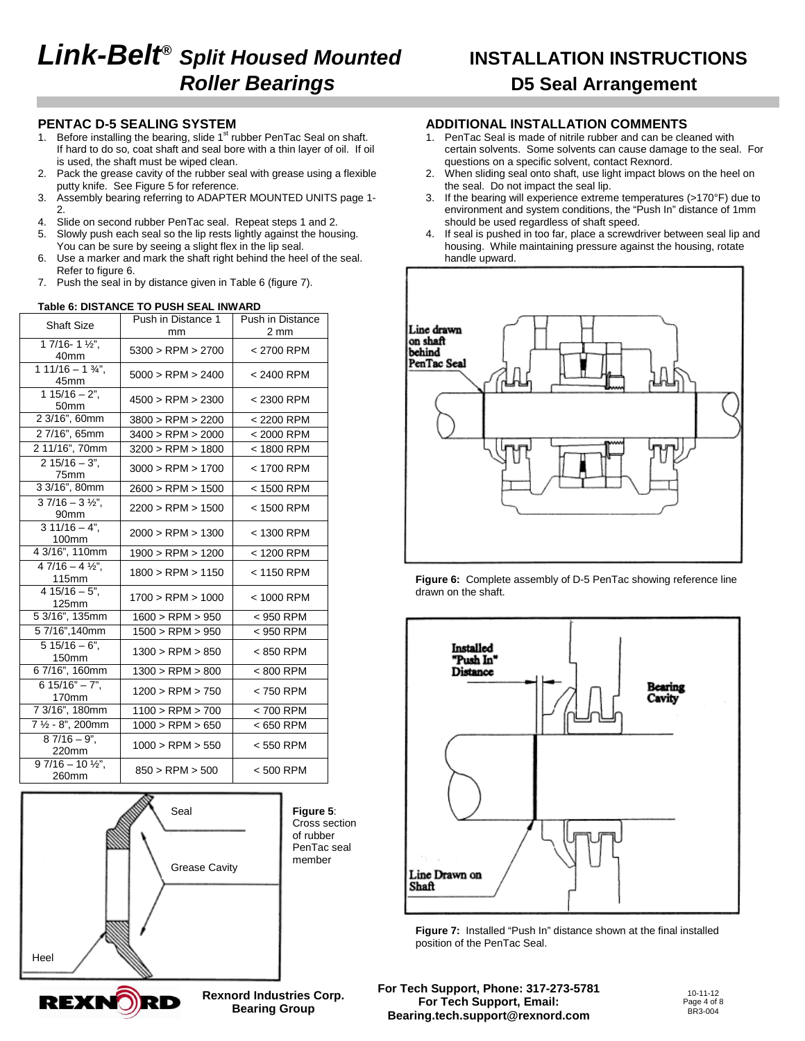# **Link-Belt® Split Housed Mounted INSTALLATION INSTRUCTIONS Roller Bearings D5 Seal Arrangement**

#### **PENTAC D-5 SEALING SYSTEM**

- 1. Before installing the bearing, slide  $1<sup>st</sup>$  rubber PenTac Seal on shaft. If hard to do so, coat shaft and seal bore with a thin layer of oil. If oil is used, the shaft must be wiped clean.
- 2. Pack the grease cavity of the rubber seal with grease using a flexible putty knife. See Figure 5 for reference.
- 3. Assembly bearing referring to ADAPTER MOUNTED UNITS page 1- 2.
- 4. Slide on second rubber PenTac seal. Repeat steps 1 and 2.
- 5. Slowly push each seal so the lip rests lightly against the housing. You can be sure by seeing a slight flex in the lip seal.
- 6. Use a marker and mark the shaft right behind the heel of the seal. Refer to figure 6.
- 7. Push the seal in by distance given in Table 6 (figure 7).

#### **Table 6: DISTANCE TO PUSH SEAL INWARD**

| Shaft Size                                          | Push in Distance 1    | <b>Push in Distance</b> |  |  |
|-----------------------------------------------------|-----------------------|-------------------------|--|--|
|                                                     | mm                    | $2 \text{ mm}$          |  |  |
| $17/16 - 1\frac{1}{2}$ .<br>40mm                    | $5300 >$ RPM $> 2700$ | < 2700 RPM              |  |  |
| $111/16 - 1$ %",<br>45mm                            | $5000 >$ RPM $> 2400$ | < 2400 RPM              |  |  |
| $115/16 - 2$ ",<br>50mm                             | 4500 > RPM > 2300     | < 2300 RPM              |  |  |
| 2 3/16", 60mm                                       | $3800 >$ RPM $> 2200$ | < 2200 RPM              |  |  |
| 27/16", 65mm                                        | 3400 > RPM > 2000     | $< 2000$ RPM            |  |  |
| 2 11/16", 70mm                                      | 3200 > RPM > 1800     | < 1800 RPM              |  |  |
| $215/16 - 3$ ".<br>75mm                             | 3000 > RPM > 1700     | < 1700 RPM              |  |  |
| 3 3/16", 80mm                                       | 2600 > RPM > 1500     | < 1500 RPM              |  |  |
| $37/16 - 3\frac{1}{2}$<br>90mm                      | $2200 >$ RPM $> 1500$ | < 1500 RPM              |  |  |
| $311/16 - 4$ ",<br>100mm                            | $2000 >$ RPM $> 1300$ | < 1300 RPM              |  |  |
| 4 3/16", 110mm                                      | 1900 > RPM > 1200     | < 1200 RPM              |  |  |
| $\overline{47/16-4 \frac{1}{2}}$<br>115mm           | $1800 >$ RPM $> 1150$ | < 1150 RPM              |  |  |
| $415/16 - 5$ ".<br>125mm                            | $1700 >$ RPM $> 1000$ | < 1000 RPM              |  |  |
| 5 3/16", 135mm                                      | 1600 > RPM > 950      | < 950 RPM               |  |  |
| 57/16",140mm                                        | 1500 > RPM > 950      | < 950 RPM               |  |  |
| $515/16 - 6$ ",<br>150mm                            | 1300 > RPM > 850      | < 850 RPM               |  |  |
| 6 7/16", 160mm                                      | 1300 > RPM > 800      | < 800 RPM               |  |  |
| $615/16" - 7".$<br>170mm                            | 1200 > RPM > 750      | < 750 RPM               |  |  |
| 7 3/16", 180mm                                      | 1100 > RPM > 700      | < 700 RPM               |  |  |
| 7 1/2 - 8", 200mm                                   | 1000 > RPM > 650      | < 650 RPM               |  |  |
| $87/16 - 9$ ".<br>220mm                             | 1000 > RPM > 550      | < 550 RPM               |  |  |
| $\frac{1}{9}$ 7/16 - 10 1/ <sub>2</sub> ",<br>260mm | $850 >$ RPM $> 500$   | $< 500$ RPM             |  |  |





## **ADDITIONAL INSTALLATION COMMENTS**

- 1. PenTac Seal is made of nitrile rubber and can be cleaned with certain solvents. Some solvents can cause damage to the seal. For questions on a specific solvent, contact Rexnord.
- 2. When sliding seal onto shaft, use light impact blows on the heel on the seal. Do not impact the seal lip.
- 3. If the bearing will experience extreme temperatures (>170°F) due to environment and system conditions, the "Push In" distance of 1mm should be used regardless of shaft speed.
- 4. If seal is pushed in too far, place a screwdriver between seal lip and housing. While maintaining pressure against the housing, rotate handle upward.







**Figure 7:** Installed "Push In" distance shown at the final installed position of the PenTac Seal.

**For Tech Support, Phone: 317-273-5781 For Tech Support, Email: Bearing.tech.support@rexnord.com**



**Rexnord Industries Corp. Bearing Group**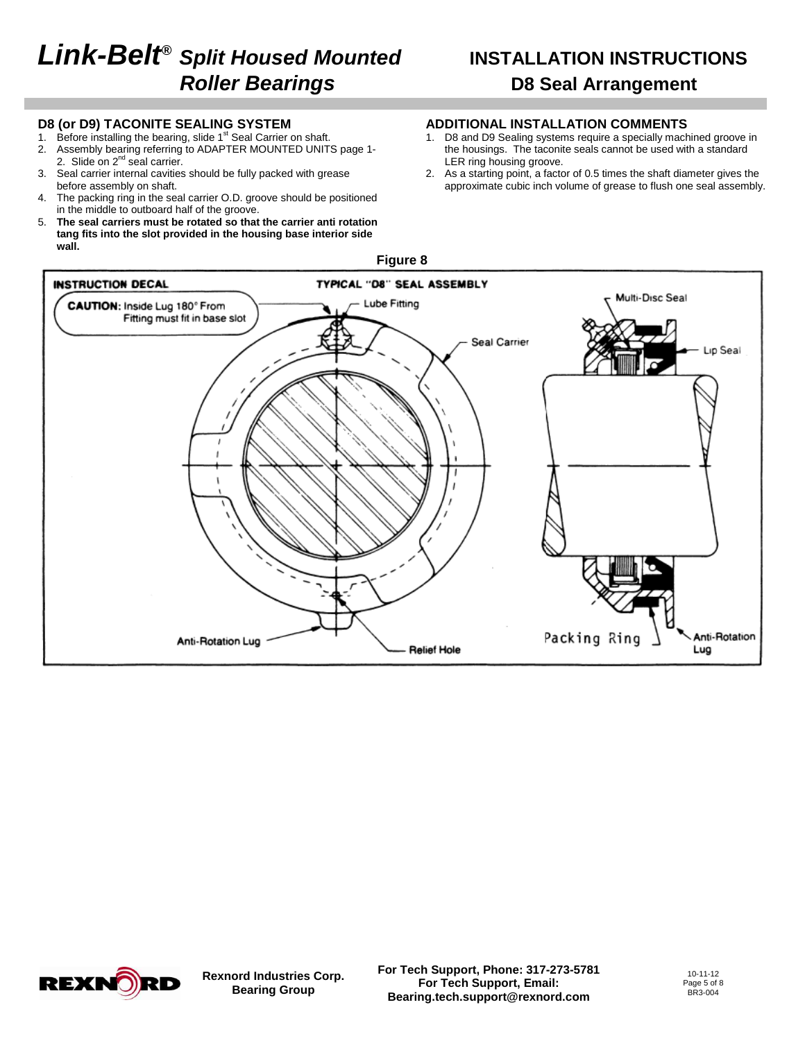# **Link-Belt® Split Housed Mounted INSTALLATION INSTRUCTIONS Roller Bearings D8 Seal Arrangement**

#### **D8 (or D9) TACONITE SEALING SYSTEM**

- 1. Before installing the bearing, slide 1<sup>st</sup> Seal Carrier on shaft.<br>2. Assembly bearing referring to ADAPTER MOUNTED UNITS
- Assembly bearing referring to ADAPTER MOUNTED UNITS page 1-2. Slide on 2<sup>nd</sup> seal carrier.
- 3. Seal carrier internal cavities should be fully packed with grease before assembly on shaft.
- 4. The packing ring in the seal carrier O.D. groove should be positioned in the middle to outboard half of the groove.
- 5. **The seal carriers must be rotated so that the carrier anti rotation tang fits into the slot provided in the housing base interior side wall.**

### **ADDITIONAL INSTALLATION COMMENTS**

- 1. D8 and D9 Sealing systems require a specially machined groove in the housings. The taconite seals cannot be used with a standard LER ring housing groove.
- 2. As a starting point, a factor of 0.5 times the shaft diameter gives the approximate cubic inch volume of grease to flush one seal assembly.





**Rexnord Industries Corp. Bearing Group**

**For Tech Support, Phone: 317-273-5781 For Tech Support, Email: Bearing.tech.support@rexnord.com**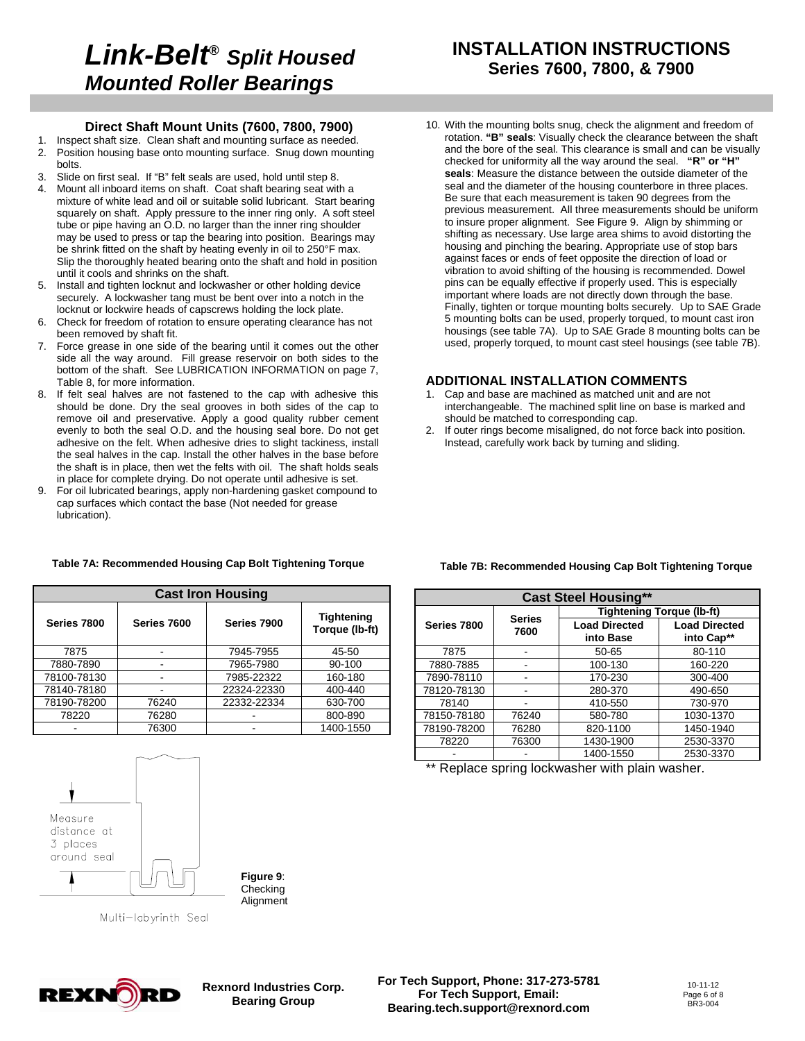## **INSTALLATION INSTRUCTIONS Series 7600, 7800, & 7900**

#### **Direct Shaft Mount Units (7600, 7800, 7900)**

- 1. Inspect shaft size. Clean shaft and mounting surface as needed. 2. Position housing base onto mounting surface. Snug down mounting bolts.
- 

- 3. Slide on first seal. If "B" felt seals are used, hold until step 8.<br>4. Mount all inhoard items on shaft. Coat shaft bearing seat wit Mount all inboard items on shaft. Coat shaft bearing seat with a mixture of white lead and oil or suitable solid lubricant. Start bearing squarely on shaft. Apply pressure to the inner ring only. A soft steel tube or pipe having an O.D. no larger than the inner ring shoulder may be used to press or tap the bearing into position. Bearings may be shrink fitted on the shaft by heating evenly in oil to 250°F max. Slip the thoroughly heated bearing onto the shaft and hold in position until it cools and shrinks on the shaft.
- 5. Install and tighten locknut and lockwasher or other holding device securely. A lockwasher tang must be bent over into a notch in the locknut or lockwire heads of capscrews holding the lock plate.
- 6. Check for freedom of rotation to ensure operating clearance has not been removed by shaft fit.
- 7. Force grease in one side of the bearing until it comes out the other side all the way around. Fill grease reservoir on both sides to the bottom of the shaft. See LUBRICATION INFORMATION on page 7, Table 8, for more information.
- 8. If felt seal halves are not fastened to the cap with adhesive this should be done. Dry the seal grooves in both sides of the cap to remove oil and preservative. Apply a good quality rubber cement evenly to both the seal O.D. and the housing seal bore. Do not get adhesive on the felt. When adhesive dries to slight tackiness, install the seal halves in the cap. Install the other halves in the base before the shaft is in place, then wet the felts with oil. The shaft holds seals in place for complete drying. Do not operate until adhesive is set.
- 9. For oil lubricated bearings, apply non-hardening gasket compound to cap surfaces which contact the base (Not needed for grease lubrication).

10. With the mounting bolts snug, check the alignment and freedom of rotation. **"B" seals**: Visually check the clearance between the shaft and the bore of the seal. This clearance is small and can be visually checked for uniformity all the way around the seal. **"R" or "H" seals**: Measure the distance between the outside diameter of the seal and the diameter of the housing counterbore in three places. Be sure that each measurement is taken 90 degrees from the previous measurement. All three measurements should be uniform to insure proper alignment. See Figure 9. Align by shimming or shifting as necessary. Use large area shims to avoid distorting the housing and pinching the bearing. Appropriate use of stop bars against faces or ends of feet opposite the direction of load or vibration to avoid shifting of the housing is recommended. Dowel pins can be equally effective if properly used. This is especially important where loads are not directly down through the base. Finally, tighten or torque mounting bolts securely. Up to SAE Grade 5 mounting bolts can be used, properly torqued, to mount cast iron housings (see table 7A). Up to SAE Grade 8 mounting bolts can be used, properly torqued, to mount cast steel housings (see table 7B).

### **ADDITIONAL INSTALLATION COMMENTS**

- 1. Cap and base are machined as matched unit and are not interchangeable. The machined split line on base is marked and should be matched to corresponding cap.
- 2. If outer rings become misaligned, do not force back into position. Instead, carefully work back by turning and sliding.

| <b>Cast Iron Housing</b> |             |             |                                     |  |  |  |  |
|--------------------------|-------------|-------------|-------------------------------------|--|--|--|--|
| Series 7800              | Series 7600 | Series 7900 | <b>Tightening</b><br>Torque (lb-ft) |  |  |  |  |
| 7875                     |             | 7945-7955   | 45-50                               |  |  |  |  |
| 7880-7890                |             | 7965-7980   | 90-100                              |  |  |  |  |
| 78100-78130              |             | 7985-22322  | 160-180                             |  |  |  |  |
| 78140-78180              |             | 22324-22330 | 400-440                             |  |  |  |  |
| 78190-78200              | 76240       | 22332-22334 | 630-700                             |  |  |  |  |
| 78220                    | 76280       |             | 800-890                             |  |  |  |  |
|                          | 76300       |             | 1400-1550                           |  |  |  |  |

#### **Table 7A: Recommended Housing Cap Bolt Tightening Torque**

| <b>Cast Steel Housing**</b> |                       |                                   |                                    |  |  |  |
|-----------------------------|-----------------------|-----------------------------------|------------------------------------|--|--|--|
|                             |                       | <b>Tightening Torque (lb-ft)</b>  |                                    |  |  |  |
| Series 7800                 | <b>Series</b><br>7600 | <b>Load Directed</b><br>into Base | <b>Load Directed</b><br>into Cap** |  |  |  |
| 7875                        |                       | $50 - 65$                         | 80-110                             |  |  |  |
| 7880-7885                   |                       | 100-130                           | 160-220                            |  |  |  |
| 7890-78110                  |                       | 170-230                           | 300-400                            |  |  |  |
| 78120-78130                 |                       | 280-370                           | 490-650                            |  |  |  |
| 78140                       |                       | 410-550                           | 730-970                            |  |  |  |
| 78150-78180                 | 76240                 | 580-780                           | 1030-1370                          |  |  |  |
| 78190-78200                 | 76280                 | 820-1100                          | 1450-1940                          |  |  |  |
| 78220                       | 76300                 | 1430-1900                         | 2530-3370                          |  |  |  |
|                             |                       | 1400-1550                         | 2530-3370                          |  |  |  |

**Table 7B: Recommended Housing Cap Bolt Tightening Torque** 

\*\* Replace spring lockwasher with plain washer.



**Figure 9**: **Checking Alignment** 

Multi-labyrinth Seal



**Rexnord Industries Corp. Bearing Group**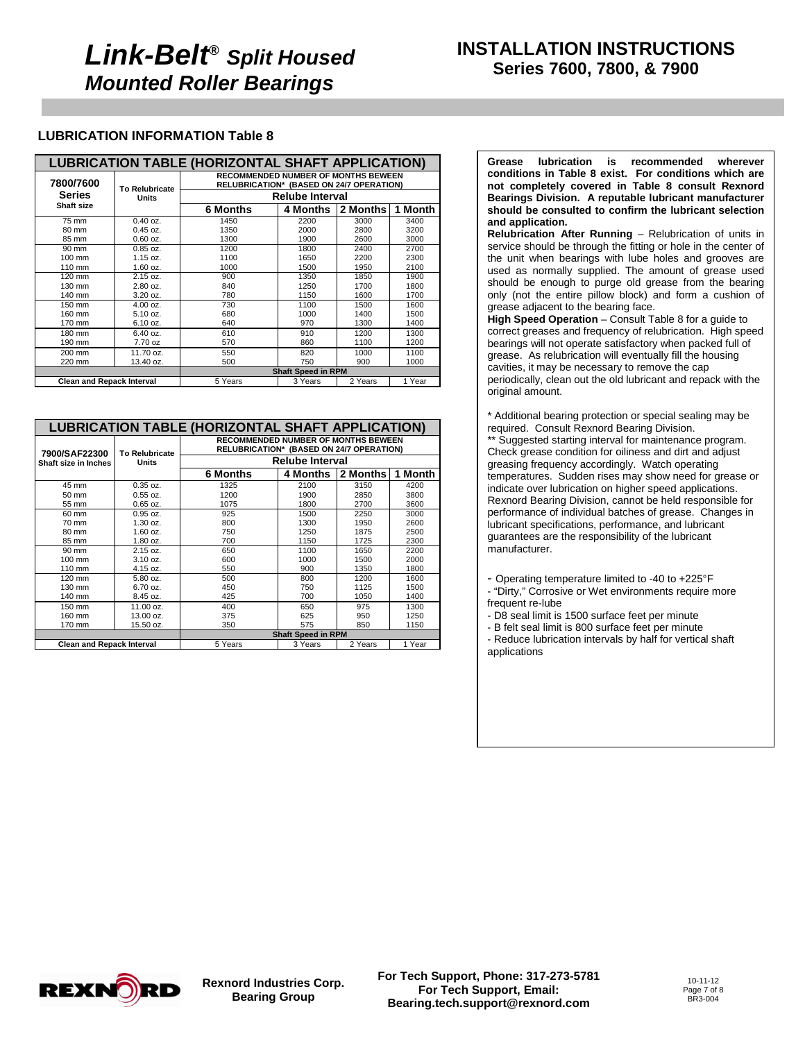### **LUBRICATION INFORMATION Table 8**

| <b>LUBRICATION TABLE (HORIZONTAL SHAFT APPLICATION)</b> |                           |                                                                                        |          |          |         |  |  |  |  |
|---------------------------------------------------------|---------------------------|----------------------------------------------------------------------------------------|----------|----------|---------|--|--|--|--|
| 7800/7600                                               | <b>To Relubricate</b>     | <b>RECOMMENDED NUMBER OF MONTHS BEWEEN</b><br>RELUBRICATION* (BASED ON 24/7 OPERATION) |          |          |         |  |  |  |  |
| <b>Series</b>                                           | Units                     | <b>Relube Interval</b>                                                                 |          |          |         |  |  |  |  |
| <b>Shaft size</b>                                       |                           | <b>6 Months</b>                                                                        | 4 Months | 2 Months | 1 Month |  |  |  |  |
| 75 mm                                                   | $0.40$ oz.                | 1450                                                                                   | 2200     | 3000     | 3400    |  |  |  |  |
| 80 mm                                                   | $0.45$ oz.                | 1350                                                                                   | 2000     | 2800     | 3200    |  |  |  |  |
| 85 mm                                                   | $0.60$ oz.                | 1300                                                                                   | 1900     | 2600     | 3000    |  |  |  |  |
| 90 mm                                                   | $0.85$ oz.                | 1200                                                                                   | 1800     | 2400     | 2700    |  |  |  |  |
| $100 \text{ mm}$                                        | 1.15 oz.                  | 1100                                                                                   | 1650     | 2200     | 2300    |  |  |  |  |
| 110 mm                                                  | $1.60$ oz.                | 1000                                                                                   | 1500     | 1950     | 2100    |  |  |  |  |
| $120 \text{ mm}$                                        | 2.15 oz.                  | 900                                                                                    | 1350     | 1850     | 1900    |  |  |  |  |
| 130 mm                                                  | 2.80 oz.                  | 840                                                                                    | 1250     | 1700     | 1800    |  |  |  |  |
| 140 mm                                                  | 3.20 oz.                  | 780                                                                                    | 1150     | 1600     | 1700    |  |  |  |  |
| 150 mm                                                  | 4.00 oz.                  | 730                                                                                    | 1100     | 1500     | 1600    |  |  |  |  |
| 160 mm                                                  | 5.10 oz.                  | 680                                                                                    | 1000     | 1400     | 1500    |  |  |  |  |
| 170 mm                                                  | 6.10 oz.                  | 640                                                                                    | 970      | 1300     | 1400    |  |  |  |  |
| 180 mm                                                  | 6.40 oz.                  | 610                                                                                    | 910      | 1200     | 1300    |  |  |  |  |
| 190 mm                                                  | 7.70 oz                   | 570                                                                                    | 860      | 1100     | 1200    |  |  |  |  |
| 200 mm                                                  | 11.70 oz.                 | 550                                                                                    | 820      | 1000     | 1100    |  |  |  |  |
| 220 mm                                                  | 13.40 oz.                 | 500                                                                                    | 750      | 900      | 1000    |  |  |  |  |
|                                                         | <b>Shaft Speed in RPM</b> |                                                                                        |          |          |         |  |  |  |  |
| <b>Clean and Repack Interval</b>                        |                           | 5 Years                                                                                | 3 Years  | 2 Years  | 1 Year  |  |  |  |  |

| <b>LUBRICATION TABLE (HORIZONTAL SHAFT APPLICATION)</b> |                       |                                                                                        |                           |          |         |  |  |  |  |
|---------------------------------------------------------|-----------------------|----------------------------------------------------------------------------------------|---------------------------|----------|---------|--|--|--|--|
| 7900/SAF22300                                           | <b>To Relubricate</b> | <b>RECOMMENDED NUMBER OF MONTHS BEWEEN</b><br>RELUBRICATION* (BASED ON 24/7 OPERATION) |                           |          |         |  |  |  |  |
| Shaft size in Inches                                    | Units                 | <b>Relube Interval</b>                                                                 |                           |          |         |  |  |  |  |
|                                                         |                       | 6 Months                                                                               | 4 Months                  | 2 Months | 1 Month |  |  |  |  |
| 45 mm                                                   | $0.35$ oz.            | 1325                                                                                   | 2100                      | 3150     | 4200    |  |  |  |  |
| $50 \text{ mm}$                                         | $0.55$ oz.            | 1200                                                                                   | 1900                      | 2850     | 3800    |  |  |  |  |
| 55 mm                                                   | $0.65$ oz.            | 1075                                                                                   | 1800                      | 2700     | 3600    |  |  |  |  |
| 60 mm                                                   | $0.95$ oz.            | 925                                                                                    | 1500                      | 2250     | 3000    |  |  |  |  |
| 70 mm                                                   | $1.30$ oz.            | 800                                                                                    | 1300                      | 1950     | 2600    |  |  |  |  |
| 80 mm                                                   | $1.60$ oz.            | 750                                                                                    | 1250                      | 1875     | 2500    |  |  |  |  |
| 85 mm                                                   | 1.80 oz.              | 700                                                                                    | 1150                      | 1725     | 2300    |  |  |  |  |
| $90 \text{ mm}$                                         | 2.15 oz.              | 650                                                                                    | 1100                      | 1650     | 2200    |  |  |  |  |
| 100 mm                                                  | $3.10$ oz.            | 600                                                                                    | 1000                      | 1500     | 2000    |  |  |  |  |
| 110 mm                                                  | 4.15 oz.              | 550                                                                                    | 900                       | 1350     | 1800    |  |  |  |  |
| 120 mm                                                  | 5.80 oz.              | 500                                                                                    | 800                       | 1200     | 1600    |  |  |  |  |
| 130 mm                                                  | 6.70 oz.              | 450                                                                                    | 750                       | 1125     | 1500    |  |  |  |  |
| 140 mm                                                  | 8.45 oz.              | 425                                                                                    | 700                       | 1050     | 1400    |  |  |  |  |
| 150 mm                                                  | 11.00 oz.             | 400                                                                                    | 650                       | 975      | 1300    |  |  |  |  |
| 160 mm                                                  | 13.00 oz.             | 375                                                                                    | 625                       | 950      | 1250    |  |  |  |  |
| 170 mm                                                  | 15.50 oz.             | 350                                                                                    | 575                       | 850      | 1150    |  |  |  |  |
|                                                         |                       |                                                                                        | <b>Shaft Speed in RPM</b> |          |         |  |  |  |  |
| <b>Clean and Repack Interval</b>                        |                       | 5 Years                                                                                | 3 Years                   | 2 Years  | 1 Year  |  |  |  |  |

**Grease lubrication is recommended wherever conditions in Table 8 exist. For conditions which are not completely covered in Table 8 consult Rexnord Bearings Division. A reputable lubricant manufacturer should be consulted to confirm the lubricant selection and application.** 

**Relubrication After Running** – Relubrication of units in service should be through the fitting or hole in the center of the unit when bearings with lube holes and grooves are used as normally supplied. The amount of grease used should be enough to purge old grease from the bearing only (not the entire pillow block) and form a cushion of grease adjacent to the bearing face.

**High Speed Operation** – Consult Table 8 for a guide to correct greases and frequency of relubrication. High speed bearings will not operate satisfactory when packed full of grease. As relubrication will eventually fill the housing cavities, it may be necessary to remove the cap periodically, clean out the old lubricant and repack with the original amount.

\* Additional bearing protection or special sealing may be required. Consult Rexnord Bearing Division.

\*\* Suggested starting interval for maintenance program. Check grease condition for oiliness and dirt and adjust greasing frequency accordingly. Watch operating temperatures. Sudden rises may show need for grease or indicate over lubrication on higher speed applications. Rexnord Bearing Division, cannot be held responsible for performance of individual batches of grease. Changes in lubricant specifications, performance, and lubricant guarantees are the responsibility of the lubricant manufacturer.

- Operating temperature limited to -40 to +225°F

- "Dirty," Corrosive or Wet environments require more frequent re-lube

- D8 seal limit is 1500 surface feet per minute

- B felt seal limit is 800 surface feet per minute

- Reduce lubrication intervals by half for vertical shaft applications